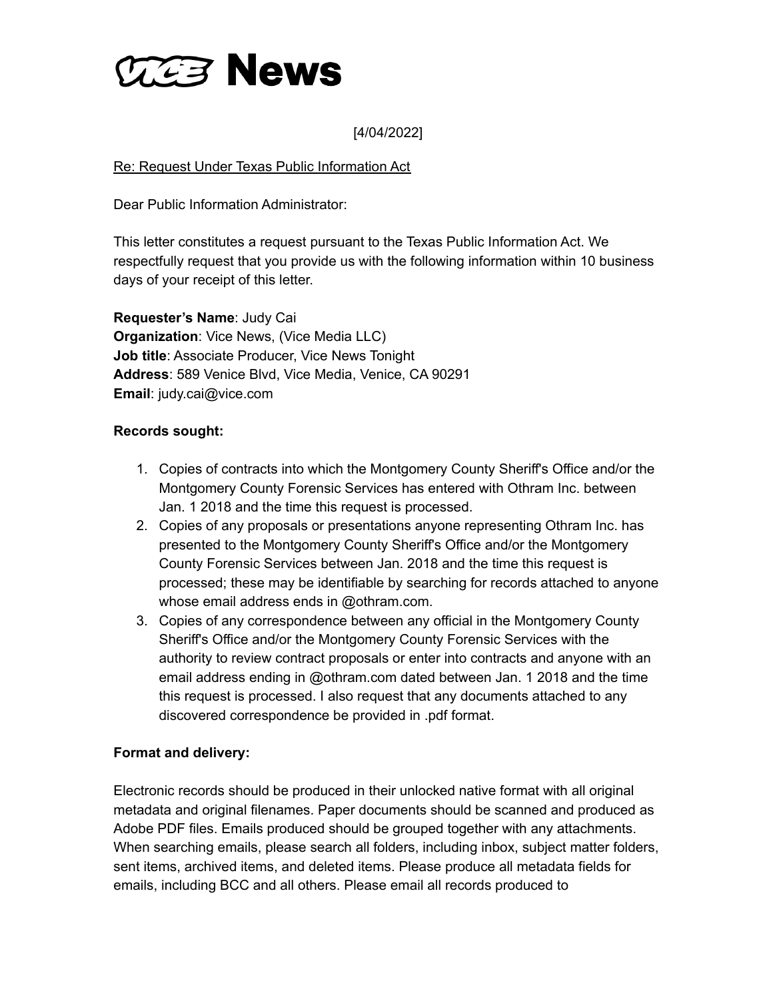

[4/04/2022]

# Re: Request Under Texas Public Information Act

Dear Public Information Administrator:

This letter constitutes a request pursuant to the Texas Public Information Act. We respectfully request that you provide us with the following information within 10 business days of your receipt of this letter.

**Requester's Name**: Judy Cai **Organization**: Vice News, (Vice Media LLC) **Job title**: Associate Producer, Vice News Tonight **Address**: 589 Venice Blvd, Vice Media, Venice, CA 90291 **Email**: judy.cai@vice.com

## **Records sought:**

- 1. Copies of contracts into which the Montgomery County Sheriff's Office and/or the Montgomery County Forensic Services has entered with Othram Inc. between Jan. 1 2018 and the time this request is processed.
- 2. Copies of any proposals or presentations anyone representing Othram Inc. has presented to the Montgomery County Sheriff's Office and/or the Montgomery County Forensic Services between Jan. 2018 and the time this request is processed; these may be identifiable by searching for records attached to anyone whose email address ends in @othram.com.
- 3. Copies of any correspondence between any official in the Montgomery County Sheriff's Office and/or the Montgomery County Forensic Services with the authority to review contract proposals or enter into contracts and anyone with an email address ending in @othram.com dated between Jan. 1 2018 and the time this request is processed. I also request that any documents attached to any discovered correspondence be provided in .pdf format.

## **Format and delivery:**

Electronic records should be produced in their unlocked native format with all original metadata and original filenames. Paper documents should be scanned and produced as Adobe PDF files. Emails produced should be grouped together with any attachments. When searching emails, please search all folders, including inbox, subject matter folders, sent items, archived items, and deleted items. Please produce all metadata fields for emails, including BCC and all others. Please email all records produced to